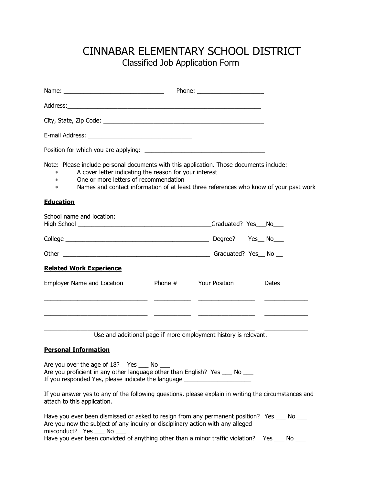## CINNABAR ELEMENTARY SCHOOL DISTRICT Classified Job Application Form

| Note: Please include personal documents with this application. Those documents include:<br>A cover letter indicating the reason for your interest<br>$*$ and $*$<br>One or more letters of recommendation<br>$*$ and $*$<br>Names and contact information of at least three references who know of your past work<br>$\ast$<br><u>Education</u> |           |                      |              |
|-------------------------------------------------------------------------------------------------------------------------------------------------------------------------------------------------------------------------------------------------------------------------------------------------------------------------------------------------|-----------|----------------------|--------------|
| School name and location:                                                                                                                                                                                                                                                                                                                       |           |                      |              |
|                                                                                                                                                                                                                                                                                                                                                 |           |                      |              |
|                                                                                                                                                                                                                                                                                                                                                 |           |                      |              |
| <b>Related Work Experience</b>                                                                                                                                                                                                                                                                                                                  |           |                      |              |
| <b>Employer Name and Location</b>                                                                                                                                                                                                                                                                                                               | Phone $#$ | <b>Your Position</b> | <u>Dates</u> |

Use and additional page if more employment history is relevant.

\_\_\_\_\_\_\_\_\_\_\_\_\_\_\_\_\_\_\_\_\_\_\_\_\_\_\_\_\_\_\_ \_\_\_\_\_\_\_\_\_\_\_ \_\_\_\_\_\_\_\_\_\_\_\_\_\_\_\_\_ \_\_\_\_\_\_\_\_\_\_\_\_\_

\_\_\_\_\_\_\_\_\_\_\_\_\_\_\_\_\_\_\_\_\_\_\_\_\_\_\_\_\_\_\_ \_\_\_\_\_\_\_\_\_\_\_ \_\_\_\_\_\_\_\_\_\_\_\_\_\_\_\_\_ \_\_\_\_\_\_\_\_\_\_\_\_\_

 $\mathcal{L}_\text{max}$  , and the set of the set of the set of the set of the set of the set of the set of the set of the set of

## **Personal Information**

Are you over the age of 18? Yes \_\_\_ No \_\_\_ Are you proficient in any other language other than English? Yes  $\frac{1}{\sqrt{2}}$  No  $\frac{1}{\sqrt{2}}$ If you responded Yes, please indicate the language \_\_\_\_\_\_\_\_\_\_\_\_\_\_

If you answer yes to any of the following questions, please explain in writing the circumstances and attach to this application.

| Have you ever been dismissed or asked to resign from any permanent position? Yes   | in North State State State State State State State State State State State State State State State State State |
|------------------------------------------------------------------------------------|----------------------------------------------------------------------------------------------------------------|
| Are you now the subject of any inquiry or disciplinary action with any alleged     |                                                                                                                |
| misconduct? Yes No                                                                 |                                                                                                                |
| Have you ever been convicted of anything other than a minor traffic violation? Yes | No.                                                                                                            |